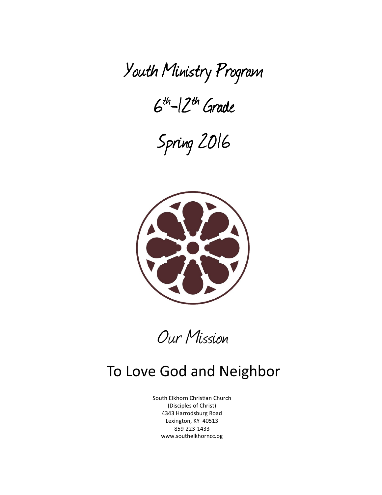Youth Ministry Program Ministry Program

 $6th$ - $12th$  Grade

Spring 2016 Spring 2016



Our Mission

# To Love God and Neighbor

South Elkhorn Christian Church (Disciples of Christ) 4343 Harrodsburg Road Lexington, KY 40513 859-223-1433 www.southelkhorncc.og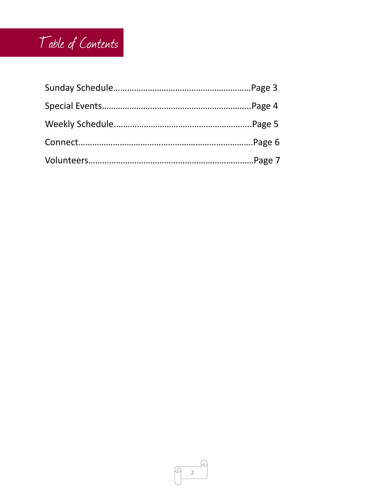# Table of Contents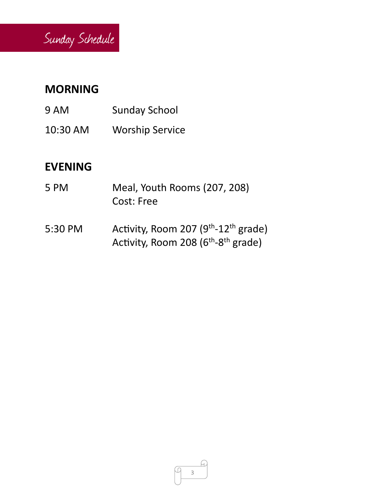

# **MORNING**

- 9 AM Sunday School
- 10:30 AM Worship Service

# **EVENING**

- 5 PM Meal, Youth Rooms (207, 208) Cost: Free
- 5:30 PM Activity, Room 207  $(9<sup>th</sup>-12<sup>th</sup>$  grade) Activity, Room 208 (6<sup>th</sup>-8<sup>th</sup> grade)

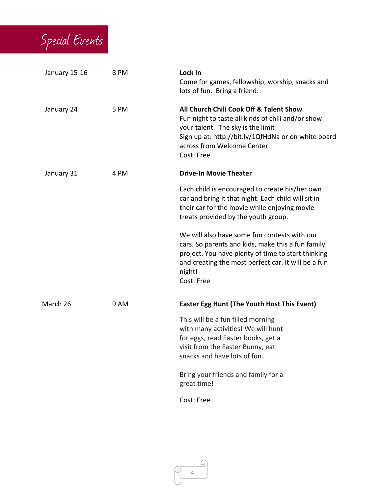

| January 15-16 | 8 PM | Lock In<br>Come for games, fellowship, worship, snacks and<br>lots of fun. Bring a friend.                                                                                                                                             |
|---------------|------|----------------------------------------------------------------------------------------------------------------------------------------------------------------------------------------------------------------------------------------|
| January 24    | 5 PM | All Church Chili Cook Off & Talent Show<br>Fun night to taste all kinds of chili and/or show<br>your talent. The sky is the limit!<br>Sign up at: http://bit.ly/1QfHdNa or on white board<br>across from Welcome Center.<br>Cost: Free |
| January 31    | 4 PM | <b>Drive-In Movie Theater</b>                                                                                                                                                                                                          |
|               |      | Each child is encouraged to create his/her own<br>car and bring it that night. Each child will sit in<br>their car for the movie while enjoying movie<br>treats provided by the youth group.                                           |
|               |      | We will also have some fun contests with our<br>cars. So parents and kids, make this a fun family<br>project. You have plenty of time to start thinking<br>and creating the most perfect car. It will be a fun<br>night!<br>Cost: Free |
| March 26      | 9 AM | <b>Easter Egg Hunt (The Youth Host This Event)</b>                                                                                                                                                                                     |
|               |      | This will be a fun filled morning<br>with many activities! We will hunt<br>for eggs, read Easter books, get a<br>visit from the Easter Bunny, eat<br>snacks and have lots of fun.                                                      |
|               |      | Bring your friends and family for a<br>great time!                                                                                                                                                                                     |
|               |      | Cost: Free                                                                                                                                                                                                                             |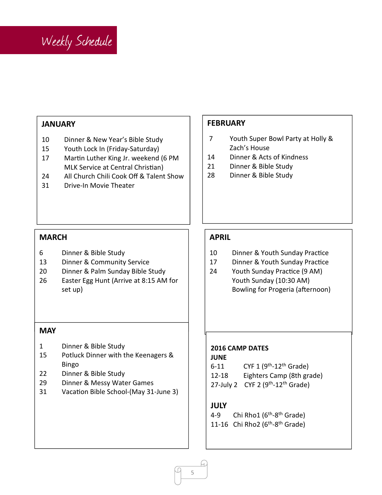

# **JANUARY**

- 10 Dinner & New Year's Bible Study
- 15 Youth Lock In (Friday-Saturday)
- 17 Martin Luther King Jr. weekend (6 PM MLK Service at Central Christian)
- 24 All Church Chili Cook Off & Talent Show
- 31 Drive-In Movie Theater

#### **FEBRUARY**

- 7 Youth Super Bowl Party at Holly & Zach's House
- 14 Dinner & Acts of Kindness
- 21 Dinner & Bible Study
- 28 Dinner & Bible Study

# **MARCH**

- 6 Dinner & Bible Study
- 13 Dinner & Community Service
- 20 Dinner & Palm Sunday Bible Study
- 26 Easter Egg Hunt (Arrive at 8:15 AM for set up)

#### **MAY**

- 1 Dinner & Bible Study
- 15 Potluck Dinner with the Keenagers & Bingo
- 22 Dinner & Bible Study
- 29 Dinner & Messy Water Games
- 31 Vacation Bible School-(May 31-June 3)

# **APRIL**

- 10 Dinner & Youth Sunday Practice
- 17 Dinner & Youth Sunday Practice
- 24 Youth Sunday Practice (9 AM) Youth Sunday (10:30 AM) Bowling for Progeria (afternoon)

#### **2016 CAMP DATES**

#### **JUNE**

- 6-11 CYF 1  $(9<sup>th</sup>-12<sup>th</sup>$  Grade)
- 12-18 Eighters Camp (8th grade)
- 27-July 2  $CYF$  2 (9<sup>th</sup>-12<sup>th</sup> Grade)

#### **JULY**

4-9 Chi Rho1 ( $6<sup>th</sup>$ -8<sup>th</sup> Grade) 11-16 Chi Rho2 (6<sup>th</sup>-8<sup>th</sup> Grade)

5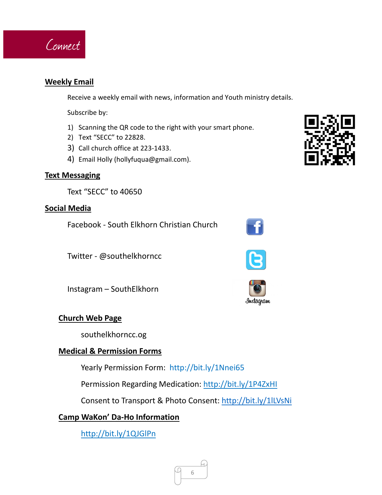

# **Weekly Email**

Receive a weekly email with news, information and Youth ministry details.

Subscribe by:

- 1) Scanning the QR code to the right with your smart phone.
- 2) Text "SECC" to 22828.
- 3) Call church office at 223-1433.
- 4) Email Holly (hollyfuqua@gmail.com).

# **Text Messaging**

Text "SECC" to 40650

# **Social Media**

Facebook - South Elkhorn Christian Church

Twitter - @southelkhorncc

Instagram – SouthElkhorn

# **Church Web Page**

southelkhorncc.og

# **Medical & Permission Forms**

Yearly Permission Form: http://bit.ly/1Nnei65

Permission Regarding Medication: http://bit.ly/1P4ZxHI

Consent to Transport & Photo Consent: http://bit.ly/1lLVsNi

# **Camp WaKon' Da-Ho Information**

http://bit.ly/1QJGlPn